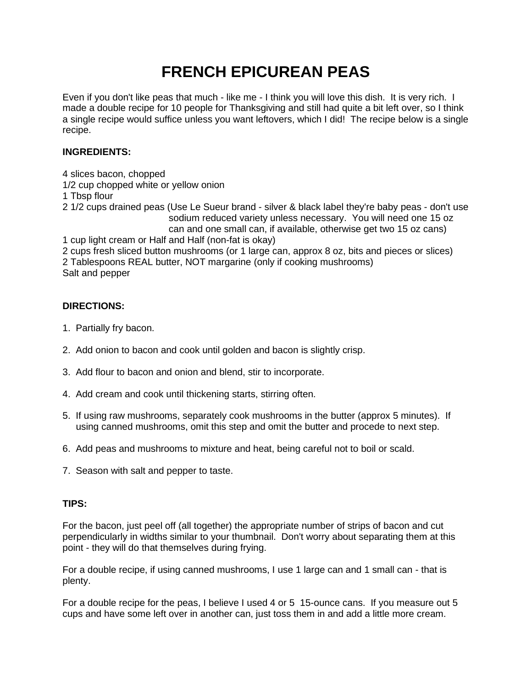## **FRENCH EPICUREAN PEAS**

Even if you don't like peas that much - like me - I think you will love this dish. It is very rich. I made a double recipe for 10 people for Thanksgiving and still had quite a bit left over, so I think a single recipe would suffice unless you want leftovers, which I did! The recipe below is a single recipe.

## **INGREDIENTS:**

4 slices bacon, chopped 1/2 cup chopped white or yellow onion 1 Tbsp flour 2 1/2 cups drained peas (Use Le Sueur brand - silver & black label they're baby peas - don't use sodium reduced variety unless necessary. You will need one 15 oz can and one small can, if available, otherwise get two 15 oz cans) 1 cup light cream or Half and Half (non-fat is okay) 2 cups fresh sliced button mushrooms (or 1 large can, approx 8 oz, bits and pieces or slices) 2 Tablespoons REAL butter, NOT margarine (only if cooking mushrooms) Salt and pepper

## **DIRECTIONS:**

- 1. Partially fry bacon.
- 2. Add onion to bacon and cook until golden and bacon is slightly crisp.
- 3. Add flour to bacon and onion and blend, stir to incorporate.
- 4. Add cream and cook until thickening starts, stirring often.
- 5. If using raw mushrooms, separately cook mushrooms in the butter (approx 5 minutes). If using canned mushrooms, omit this step and omit the butter and procede to next step.
- 6. Add peas and mushrooms to mixture and heat, being careful not to boil or scald.
- 7. Season with salt and pepper to taste.

## **TIPS:**

For the bacon, just peel off (all together) the appropriate number of strips of bacon and cut perpendicularly in widths similar to your thumbnail. Don't worry about separating them at this point - they will do that themselves during frying.

For a double recipe, if using canned mushrooms, I use 1 large can and 1 small can - that is plenty.

For a double recipe for the peas, I believe I used 4 or 5 15-ounce cans. If you measure out 5 cups and have some left over in another can, just toss them in and add a little more cream.